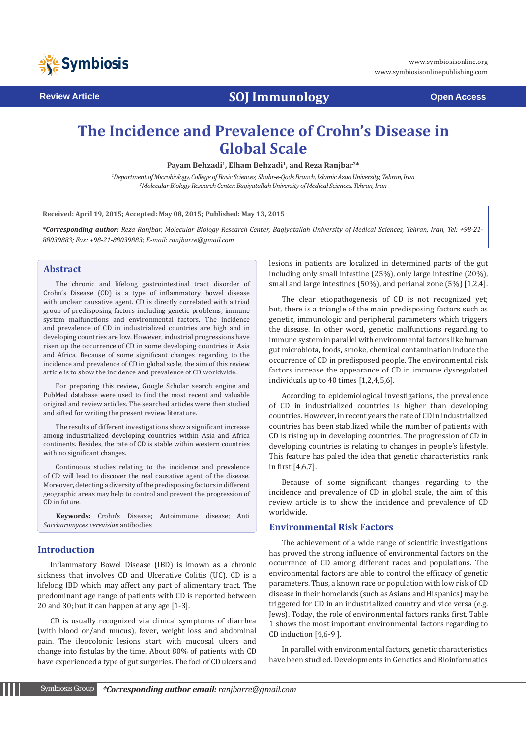

**Review Article SOJ Immunology Open Access**

# **The Incidence and Prevalence of Crohn's Disease in Global Scale**

**Payam Behzadi1, Elham Behzadi1, and Reza Ranjbar2\***

*1 Department of Microbiology, College of Basic Sciences, Shahr-e-Qods Branch, Islamic Azad University, Tehran, Iran 2 Molecular Biology Research Center, Baqiyatallah University of Medical Sciences, Tehran, Iran*

**Received: April 19, 2015; Accepted: May 08, 2015; Published: May 13, 2015**

*\*Corresponding author: Reza Ranjbar, Molecular Biology Research Center, Baqiyatallah University of Medical Sciences, Tehran, Iran, Tel: +98-21- 88039883; Fax: +98-21-88039883; E-mail: ranjbarre@gmail.com*

## **Abstract**

The chronic and lifelong gastrointestinal tract disorder of Crohn's Disease (CD) is a type of inflammatory bowel disease with unclear causative agent. CD is directly correlated with a triad group of predisposing factors including genetic problems, immune system malfunctions and environmental factors. The incidence and prevalence of CD in industrialized countries are high and in developing countries are low. However, industrial progressions have risen up the occurrence of CD in some developing countries in Asia and Africa. Because of some significant changes regarding to the incidence and prevalence of CD in global scale, the aim of this review article is to show the incidence and prevalence of CD worldwide.

For preparing this review, Google Scholar search engine and PubMed database were used to find the most recent and valuable original and review articles. The searched articles were then studied and sifted for writing the present review literature.

The results of different investigations show a significant increase among industrialized developing countries within Asia and Africa continents. Besides, the rate of CD is stable within western countries with no significant changes.

Continuous studies relating to the incidence and prevalence of CD will lead to discover the real causative agent of the disease. Moreover, detecting a diversity of the predisposing factors in different geographic areas may help to control and prevent the progression of CD in future.

**Keywords:** Crohn's Disease; Autoimmune disease; Anti *Saccharomyces cerevisiae* antibodies

# **Introduction**

Inflammatory Bowel Disease (IBD) is known as a chronic sickness that involves CD and Ulcerative Colitis (UC). CD is a lifelong IBD which may affect any part of alimentary tract. The predominant age range of patients with CD is reported between 20 and 30; but it can happen at any age [1-3].

CD is usually recognized via clinical symptoms of diarrhea (with blood or/and mucus), fever, weight loss and abdominal pain. The ileocolonic lesions start with mucosal ulcers and change into fistulas by the time. About 80% of patients with CD have experienced a type of gut surgeries. The foci of CD ulcers and lesions in patients are localized in determined parts of the gut including only small intestine (25%), only large intestine (20%), small and large intestines (50%), and perianal zone (5%) [1,2,4].

The clear etiopathogenesis of CD is not recognized yet; but, there is a triangle of the main predisposing factors such as genetic, immunologic and peripheral parameters which triggers the disease. In other word, genetic malfunctions regarding to immune system in parallel with environmental factors like human gut microbiota, foods, smoke, chemical contamination induce the occurrence of CD in predisposed people. The environmental risk factors increase the appearance of CD in immune dysregulated individuals up to 40 times [1,2,4,5,6].

According to epidemiological investigations, the prevalence of CD in industrialized countries is higher than developing countries. However, in recent years the rate of CD in industrialized countries has been stabilized while the number of patients with CD is rising up in developing countries. The progression of CD in developing countries is relating to changes in people's lifestyle. This feature has paled the idea that genetic characteristics rank in first [4,6,7].

Because of some significant changes regarding to the incidence and prevalence of CD in global scale, the aim of this review article is to show the incidence and prevalence of CD worldwide.

# **Environmental Risk Factors**

The achievement of a wide range of scientific investigations has proved the strong influence of environmental factors on the occurrence of CD among different races and populations. The environmental factors are able to control the efficacy of genetic parameters. Thus, a known race or population with low risk of CD disease in their homelands (such as Asians and Hispanics) may be triggered for CD in an industrialized country and vice versa (e.g. Jews). Today, the role of environmental factors ranks first. Table 1 shows the most important environmental factors regarding to CD induction [4,6-9 ].

In parallel with environmental factors, genetic characteristics have been studied. Developments in Genetics and Bioinformatics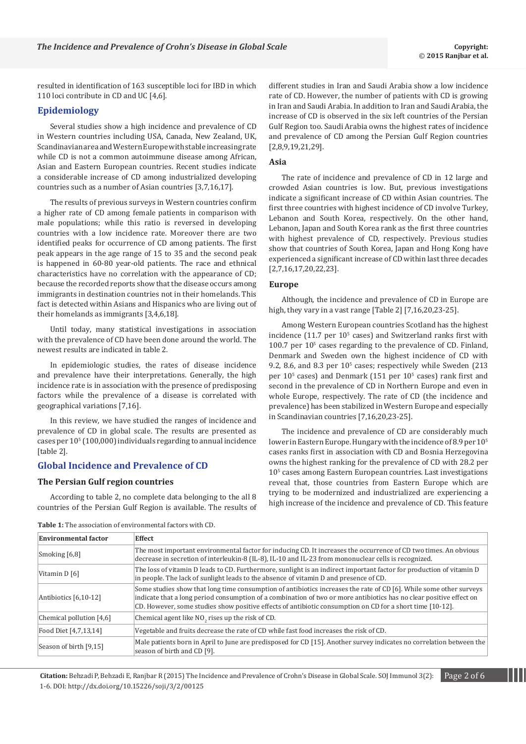resulted in identification of 163 susceptible loci for IBD in which 110 loci contribute in CD and UC [4,6].

## **Epidemiology**

Several studies show a high incidence and prevalence of CD in Western countries including USA, Canada, New Zealand, UK, Scandinavian area and Western Europe with stable increasing rate while CD is not a common autoimmune disease among African, Asian and Eastern European countries. Recent studies indicate a considerable increase of CD among industrialized developing countries such as a number of Asian countries [3,7,16,17].

The results of previous surveys in Western countries confirm a higher rate of CD among female patients in comparison with male populations; while this ratio is reversed in developing countries with a low incidence rate. Moreover there are two identified peaks for occurrence of CD among patients. The first peak appears in the age range of 15 to 35 and the second peak is happened in 60-80 year-old patients. The race and ethnical characteristics have no correlation with the appearance of CD; because the recorded reports show that the disease occurs among immigrants in destination countries not in their homelands. This fact is detected within Asians and Hispanics who are living out of their homelands as immigrants [3,4,6,18].

Until today, many statistical investigations in association with the prevalence of CD have been done around the world. The newest results are indicated in table 2.

In epidemiologic studies, the rates of disease incidence and prevalence have their interpretations. Generally, the high incidence rate is in association with the presence of predisposing factors while the prevalence of a disease is correlated with geographical variations [7,16].

In this review, we have studied the ranges of incidence and prevalence of CD in global scale. The results are presented as cases per 105 (100,000) individuals regarding to annual incidence [table 2].

#### **Global Incidence and Prevalence of CD**

#### **The Persian Gulf region countries**

According to table 2, no complete data belonging to the all 8 countries of the Persian Gulf Region is available. The results of different studies in Iran and Saudi Arabia show a low incidence rate of CD. However, the number of patients with CD is growing in Iran and Saudi Arabia. In addition to Iran and Saudi Arabia, the increase of CD is observed in the six left countries of the Persian Gulf Region too. Saudi Arabia owns the highest rates of incidence and prevalence of CD among the Persian Gulf Region countries [2,8,9,19,21,29].

#### **Asia**

The rate of incidence and prevalence of CD in 12 large and crowded Asian countries is low. But, previous investigations indicate a significant increase of CD within Asian countries. The first three countries with highest incidence of CD involve Turkey, Lebanon and South Korea, respectively. On the other hand, Lebanon, Japan and South Korea rank as the first three countries with highest prevalence of CD, respectively. Previous studies show that countries of South Korea, Japan and Hong Kong have experienced a significant increase of CD within last three decades [2,7,16,17,20,22,23].

#### **Europe**

Although, the incidence and prevalence of CD in Europe are high, they vary in a vast range [Table 2] [7,16,20,23-25].

Among Western European countries Scotland has the highest incidence  $(11.7 \text{ per } 10^5 \text{ cases})$  and Switzerland ranks first with  $100.7$  per  $10<sup>5</sup>$  cases regarding to the prevalence of CD. Finland, Denmark and Sweden own the highest incidence of CD with 9.2, 8.6, and 8.3 per  $10<sup>5</sup>$  cases; respectively while Sweden (213) per  $10<sup>5</sup>$  cases) and Denmark (151 per  $10<sup>5</sup>$  cases) rank first and second in the prevalence of CD in Northern Europe and even in whole Europe, respectively. The rate of CD (the incidence and prevalence) has been stabilized in Western Europe and especially in Scandinavian countries [7,16,20,23-25].

The incidence and prevalence of CD are considerably much lower in Eastern Europe. Hungary with the incidence of 8.9 per  $10^5$ cases ranks first in association with CD and Bosnia Herzegovina owns the highest ranking for the prevalence of CD with 28.2 per 10<sup>5</sup> cases among Eastern European countries. Last investigations reveal that, those countries from Eastern Europe which are trying to be modernized and industrialized are experiencing a high increase of the incidence and prevalence of CD. This feature

| <b>Environmental factor</b> | <b>Effect</b>                                                                                                                                                                                                                                                                                                                                          |  |  |
|-----------------------------|--------------------------------------------------------------------------------------------------------------------------------------------------------------------------------------------------------------------------------------------------------------------------------------------------------------------------------------------------------|--|--|
| Smoking [6,8]               | The most important environmental factor for inducing CD. It increases the occurrence of CD two times. An obvious<br>decrease in secretion of interleukin-8 (IL-8), IL-10 and IL-23 from mononuclear cells is recognized.                                                                                                                               |  |  |
| Vitamin D [6]               | The loss of vitamin D leads to CD. Furthermore, sunlight is an indirect important factor for production of vitamin D<br>in people. The lack of sunlight leads to the absence of vitamin D and presence of CD.                                                                                                                                          |  |  |
| Antibiotics $[6,10-12]$     | Some studies show that long time consumption of antibiotics increases the rate of CD [6]. While some other surveys<br>indicate that a long period consumption of a combination of two or more antibiotics has no clear positive effect on<br>CD. However, some studies show positive effects of antibiotic consumption on CD for a short time [10-12]. |  |  |
| Chemical pollution $[4,6]$  | Chemical agent like NO <sub>2</sub> rises up the risk of CD.                                                                                                                                                                                                                                                                                           |  |  |
| Food Diet [4,7,13,14]       | Vegetable and fruits decrease the rate of CD while fast food increases the risk of CD.                                                                                                                                                                                                                                                                 |  |  |
| Season of birth [9,15]      | Male patients born in April to June are predisposed for CD [15]. Another survey indicates no correlation between the<br>season of birth and CD [9].                                                                                                                                                                                                    |  |  |

**Table 1:** The association of environmental factors with CD.

**Citation:** Behzadi P, Behzadi E, Ranjbar R (2015) The Incidence and Prevalence of Crohn's Disease in Global Scale. SOJ Immunol 3(2): Page 2 of 6 1-6. DOI: http://dx.doi.org/10.15226/soji/3/2/00125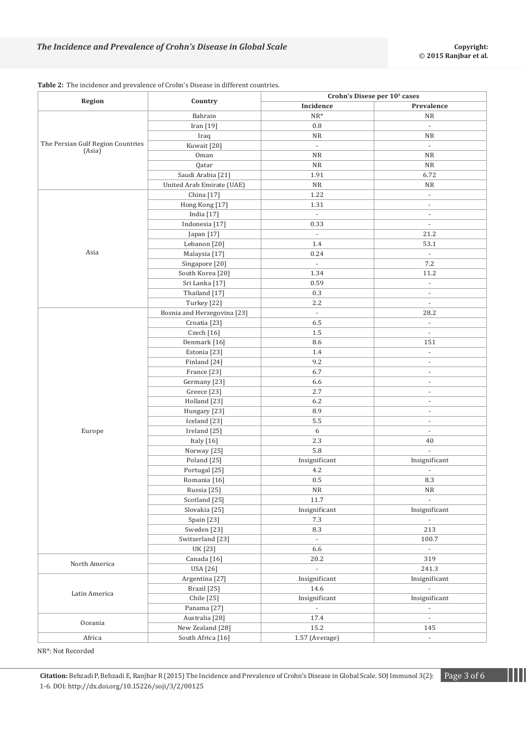|                                   | Country                     | Crohn's Disese per 10 <sup>5</sup> cases |                             |
|-----------------------------------|-----------------------------|------------------------------------------|-----------------------------|
| Region                            |                             | Incidence                                | Prevalence                  |
|                                   | Bahrain                     | $NR^*$                                   | <b>NR</b>                   |
|                                   | Iran [19]                   | $0.8\,$                                  | $\Box$                      |
|                                   | Iraq                        | <b>NR</b>                                | <b>NR</b>                   |
| The Persian Gulf Region Countries | Kuwait [20]                 | $\overline{\phantom{a}}$                 | $\blacksquare$              |
| (Asia)                            | Oman                        | <b>NR</b>                                | <b>NR</b>                   |
|                                   | Qatar                       | <b>NR</b>                                | NR                          |
|                                   | Saudi Arabia [21]           | 1.91                                     | 6.72                        |
|                                   | United Arab Emirate (UAE)   | $\rm NR$                                 | <b>NR</b>                   |
| Asia                              | China [17]                  | 1.22                                     | $\overline{\phantom{a}}$    |
|                                   | Hong Kong [17]              | 1.31                                     | $\overline{\phantom{a}}$    |
|                                   | India [17]                  | $\overline{\phantom{a}}$                 | ÷,                          |
|                                   | Indonesia <sup>[17]</sup>   | 0.33                                     | $\overline{\phantom{a}}$    |
|                                   | Japan [17]                  | $\omega$                                 | 21.2                        |
|                                   | Lebanon [20]                | $1.4\,$                                  | 53.1                        |
|                                   | Malaysia [17]               | 0.24                                     | $\omega$                    |
|                                   | Singapore [20]              | $\omega$                                 | 7.2                         |
|                                   | South Korea [20]            | 1.34                                     | 11.2                        |
|                                   | Sri Lanka [17]              | 0.59                                     | $\Box$                      |
|                                   | Thailand [17]               | 0.3                                      | $\blacksquare$              |
|                                   | Turkey [22]                 | 2.2                                      | $\omega$                    |
|                                   | Bosnia and Herzegovina [23] | $\overline{\phantom{a}}$                 | 28.2                        |
|                                   | Croatia [23]                | 6.5                                      | $\omega$                    |
|                                   | Czech [16]                  | 1.5                                      | $\omega$                    |
|                                   | Denmark [16]                | 8.6                                      | 151                         |
|                                   | Estonia [23]                | 1.4                                      | $\Box$                      |
|                                   | Finland [24]                | 9.2                                      | $\blacksquare$              |
|                                   | France <sup>[23]</sup>      | 6.7                                      | $\bar{\phantom{a}}$         |
|                                   | Germany [23]                | 6.6                                      | ÷                           |
|                                   | Greece <sup>[23]</sup>      | 2.7                                      | ÷,                          |
|                                   | Holland [23]                | $6.2\,$                                  | $\overline{\phantom{a}}$    |
|                                   | Hungary [23]                | 8.9                                      | $\overline{\phantom{a}}$    |
|                                   | Iceland [23]                | 5.5                                      | $\overline{\phantom{a}}$    |
| Europe                            | Ireland [25]                | 6                                        | $\blacksquare$              |
|                                   | Italy [16]                  | 2.3                                      | 40                          |
|                                   | Norway [25]                 | 5.8                                      | ä,                          |
|                                   | Poland [25]                 | Insignificant                            | Insignificant               |
|                                   | Portugal [25]               | $4.2\,$                                  | $\blacksquare$              |
|                                   | Romania [16]                | 0.5                                      | 8.3                         |
|                                   | Russia [25]                 | NR                                       | <b>NR</b>                   |
|                                   | Scotland [25]               | 11.7                                     | $\overline{\phantom{a}}$    |
|                                   | Slovakia <sup>[25]</sup>    | Insignificant                            | Insignificant               |
|                                   | Spain $[23]$                | 7.3                                      | $\sim$                      |
|                                   | Sweden [23]                 | 8.3                                      | 213                         |
|                                   | Switzerland [23]            | $\sim$                                   | 100.7                       |
|                                   | UK [23]                     | 6.6                                      | $\mathcal{L}_{\mathcal{A}}$ |
| North America                     | Canada <sup>[16]</sup>      | 20.2                                     | 319                         |
|                                   | USA [26]                    | $\omega$                                 | 241.3                       |
|                                   | Argentina <sup>[27]</sup>   | Insignificant                            | Insignificant               |
|                                   | Brazil [25]                 | 14.6                                     |                             |
| Latin America                     | Chile [25]                  | Insignificant                            | Insignificant               |
|                                   | Panama <sup>[27]</sup>      | $\sim$                                   | $\overline{\phantom{a}}$    |
|                                   | Australia [28]              | 17.4                                     | $\Box$                      |
| Oceania                           | New Zealand [28]            | 15.2                                     | 145                         |
| Africa                            | South Africa [16]           | 1.57 (Average)                           | $\blacksquare$              |
|                                   |                             |                                          |                             |

**Table 2:** The incidence and prevalence of Crohn's Disease in different countries.

NR\*: Not Recorded

**Citation:** Behzadi P, Behzadi E, Ranjbar R (2015) The Incidence and Prevalence of Crohn's Disease in Global Scale. SOJ Immunol 3(2): Page 3 of 6 1-6. DOI: http://dx.doi.org/10.15226/soji/3/2/00125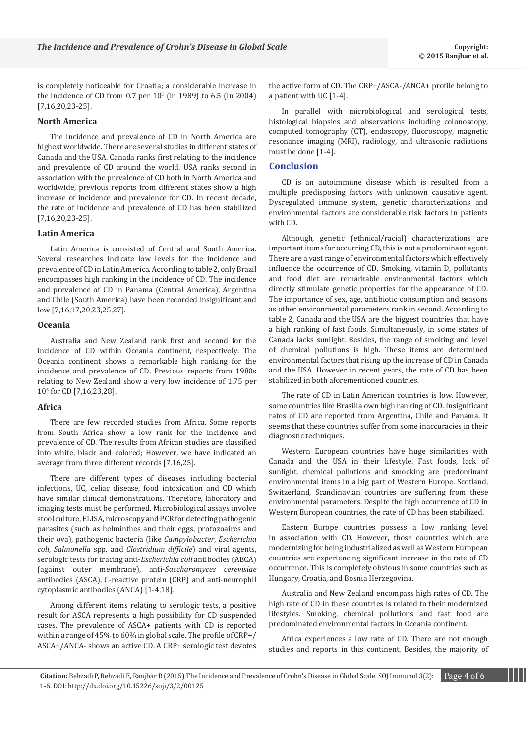is completely noticeable for Croatia; a considerable increase in the incidence of CD from  $0.7$  per  $10<sup>5</sup>$  (in 1989) to 6.5 (in 2004) [7,16,20,23-25].

## **North America**

The incidence and prevalence of CD in North America are highest worldwide. There are several studies in different states of Canada and the USA. Canada ranks first relating to the incidence and prevalence of CD around the world. USA ranks second in association with the prevalence of CD both in North America and worldwide, previous reports from different states show a high increase of incidence and prevalence for CD. In recent decade, the rate of incidence and prevalence of CD has been stabilized [7,16,20,23-25].

#### **Latin America**

Latin America is consisted of Central and South America. Several researches indicate low levels for the incidence and prevalence of CD in Latin America. According to table 2, only Brazil encompasses high ranking in the incidence of CD. The incidence and prevalence of CD in Panama (Central America), Argentina and Chile (South America) have been recorded insignificant and low [7,16,17,20,23,25,27].

# **Oceania**

Australia and New Zealand rank first and second for the incidence of CD within Oceania continent, respectively. The Oceania continent shows a remarkable high ranking for the incidence and prevalence of CD. Previous reports from 1980s relating to New Zealand show a very low incidence of 1.75 per 105 for CD [7,16,23,28].

# **Africa**

There are few recorded studies from Africa. Some reports from South Africa show a low rank for the incidence and prevalence of CD. The results from African studies are classified into white, black and colored; However, we have indicated an average from three different records [7,16,25].

There are different types of diseases including bacterial infections, UC, celiac disease, food intoxication and CD which have similar clinical demonstrations. Therefore, laboratory and imaging tests must be performed. Microbiological assays involve stool culture, ELISA, microscopy and PCR for detecting pathogenic parasites (such as helminthes and their eggs, protozoaires and their ova), pathogenic bacteria (like *Campylobacter*, *Escherichia coli*, *Salmonella* spp. and *Clostridium difficile*) and viral agents, serologic tests for tracing anti-*Escherichia coli* antibodies (AECA) (against outer membrane), anti-*Saccharomyces cerevisiae* antibodies (ASCA), C-reactive protein (CRP) and anti-neurophil cytoplasmic antibodies (ANCA) [1-4,18].

Among different items relating to serologic tests, a positive result for ASCA represents a high possibility for CD suspended cases. The prevalence of ASCA+ patients with CD is reported within a range of 45% to 60% in global scale. The profile of CRP+/ ASCA+/ANCA- shows an active CD. A CRP+ serologic test devotes

the active form of CD. The CRP+/ASCA-/ANCA+ profile belong to a patient with UC [1-4].

In parallel with microbiological and serological tests, histological biopsies and observations including colonoscopy, computed tomography (CT), endoscopy, fluoroscopy, magnetic resonance imaging (MRI), radiology, and ultrasonic radiations must be done [1-4].

## **Conclusion**

CD is an autoimmune disease which is resulted from a multiple predisposing factors with unknown causative agent. Dysregulated immune system, genetic characterizations and environmental factors are considerable risk factors in patients with  $CD$ 

Although, genetic (ethnical/racial) characterizations are important items for occurring CD, this is not a predominant agent. There are a vast range of environmental factors which effectively influence the occurrence of CD. Smoking, vitamin D, pollutants and food diet are remarkable environmental factors which directly stimulate genetic properties for the appearance of CD. The importance of sex, age, antibiotic consumption and seasons as other environmental parameters rank in second. According to table 2, Canada and the USA are the biggest countries that have a high ranking of fast foods. Simultaneously, in some states of Canada lacks sunlight. Besides, the range of smoking and level of chemical pollutions is high. These items are determined environmental factors that rising up the increase of CD in Canada and the USA. However in recent years, the rate of CD has been stabilized in both aforementioned countries.

The rate of CD in Latin American countries is low. However, some countries like Brasilia own high ranking of CD. Insignificant rates of CD are reported from Argentina, Chile and Panama. It seems that these countries suffer from some inaccuracies in their diagnostic techniques.

Western European countries have huge similarities with Canada and the USA in their lifestyle. Fast foods, lack of sunlight, chemical pollutions and smocking are predominant environmental items in a big part of Western Europe. Scotland, Switzerland, Scandinavian countries are suffering from these environmental parameters. Despite the high occurrence of CD in Western European countries, the rate of CD has been stabilized.

Eastern Europe countries possess a low ranking level in association with CD. However, those countries which are modernizing for being industrialized as well as Western European countries are experiencing significant increase in the rate of CD occurrence. This is completely obvious in some countries such as Hungary, Croatia, and Bosnia Herzegovina.

Australia and New Zealand encompass high rates of CD. The high rate of CD in these countries is related to their modernized lifestyles. Smoking, chemical pollutions and fast food are predominated environmental factors in Oceania continent.

Africa experiences a low rate of CD. There are not enough studies and reports in this continent. Besides, the majority of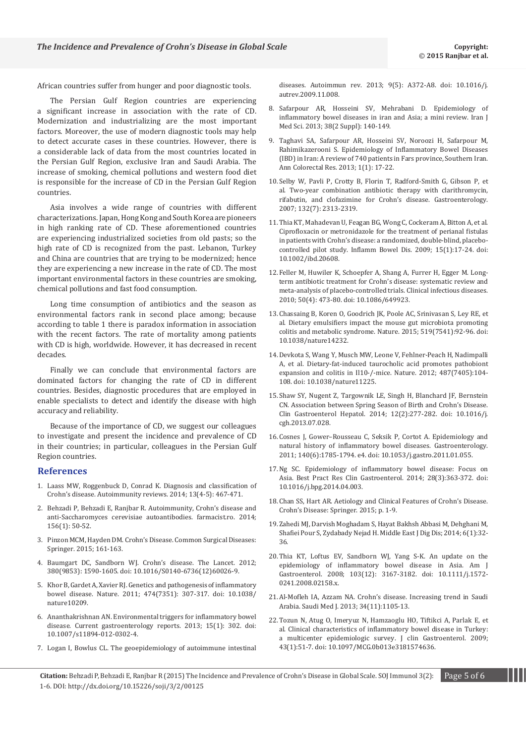African countries suffer from hunger and poor diagnostic tools.

The Persian Gulf Region countries are experiencing a significant increase in association with the rate of CD. Modernization and industrializing are the most important factors. Moreover, the use of modern diagnostic tools may help to detect accurate cases in these countries. However, there is a considerable lack of data from the most countries located in the Persian Gulf Region, exclusive Iran and Saudi Arabia. The increase of smoking, chemical pollutions and western food diet is responsible for the increase of CD in the Persian Gulf Region countries.

Asia involves a wide range of countries with different characterizations. Japan, Hong Kong and South Korea are pioneers in high ranking rate of CD. These aforementioned countries are experiencing industrialized societies from old pasts; so the high rate of CD is recognized from the past. Lebanon, Turkey and China are countries that are trying to be modernized; hence they are experiencing a new increase in the rate of CD. The most important environmental factors in these countries are smoking, chemical pollutions and fast food consumption.

Long time consumption of antibiotics and the season as environmental factors rank in second place among; because according to table 1 there is paradox information in association with the recent factors. The rate of mortality among patients with CD is high, worldwide. However, it has decreased in recent decades.

Finally we can conclude that environmental factors are dominated factors for changing the rate of CD in different countries. Besides, diagnostic procedures that are employed in enable specialists to detect and identify the disease with high accuracy and reliability.

Because of the importance of CD, we suggest our colleagues to investigate and present the incidence and prevalence of CD in their countries; in particular, colleagues in the Persian Gulf Region countries.

#### **References**

- 1. [Laass MW, Roggenbuck D, Conrad K. Diagnosis and classification of](http://www.ncbi.nlm.nih.gov/pubmed/24424189)  [Crohn's disease. Autoimmunity reviews. 2014; 13\(4-5\): 467-471.](http://www.ncbi.nlm.nih.gov/pubmed/24424189)
- 2. [Behzadi P, Behzadi E, Ranjbar R. Autoimmunity, Crohn's disease and](http://www.researchgate.net/publication/261471496_Autoimmunity_Crohns_disease_and_anti-Saccharomyces_cerevisiae_autoantibodies)  [anti-Saccharomyces cerevisiae autoantibodies. farmacist.ro. 2014;](http://www.researchgate.net/publication/261471496_Autoimmunity_Crohns_disease_and_anti-Saccharomyces_cerevisiae_autoantibodies)  [156\(1\): 50-52.](http://www.researchgate.net/publication/261471496_Autoimmunity_Crohns_disease_and_anti-Saccharomyces_cerevisiae_autoantibodies)
- 3. [Pinzon MCM, Hayden DM. Crohn's Disease. Common Surgical Diseases:](http://link.springer.com/chapter/10.1007%2F978-1-4939-1565-1_40)  [Springer. 2015; 161-163.](http://link.springer.com/chapter/10.1007%2F978-1-4939-1565-1_40)
- 4. [Baumgart DC, Sandborn WJ. Crohn's disease. The Lancet. 2012;](http://www.ncbi.nlm.nih.gov/pubmed/22914295)  [380\(9853\): 1590-1605. doi: 10.1016/S0140-6736\(12\)60026-9.](http://www.ncbi.nlm.nih.gov/pubmed/22914295)
- 5. [Khor B, Gardet A, Xavier RJ. Genetics and pathogenesis of inflammatory](http://www.ncbi.nlm.nih.gov/pubmed/21677747)  [bowel disease. Nature. 2011; 474\(7351\): 307-317. doi: 10.1038/](http://www.ncbi.nlm.nih.gov/pubmed/21677747) [nature10209.](http://www.ncbi.nlm.nih.gov/pubmed/21677747)
- 6. [Ananthakrishnan AN. Environmental triggers for inflammatory bowel](http://www.ncbi.nlm.nih.gov/pubmed/23250702)  [disease. Current gastroenterology reports. 2013; 15\(1\): 302. doi:](http://www.ncbi.nlm.nih.gov/pubmed/23250702)  [10.1007/s11894-012-0302-4.](http://www.ncbi.nlm.nih.gov/pubmed/23250702)
- 7. [Logan I, Bowlus CL. The geoepidemiology of autoimmune intestinal](http://www.ncbi.nlm.nih.gov/pubmed/19903540)

[diseases. Autoimmun rev. 2013; 9\(5\): A372-A8. doi: 10.1016/j.](http://www.ncbi.nlm.nih.gov/pubmed/19903540) [autrev.2009.11.008.](http://www.ncbi.nlm.nih.gov/pubmed/19903540)

- 8. [Safarpour AR, Hosseini SV, Mehrabani D. Epidemiology of](http://www.ncbi.nlm.nih.gov/pubmed/24031103)  [inflammatory bowel diseases in iran and Asia; a mini review. Iran J](http://www.ncbi.nlm.nih.gov/pubmed/24031103)  [Med Sci. 2013; 38\(2 Suppl\): 140-149.](http://www.ncbi.nlm.nih.gov/pubmed/24031103)
- 9. [Taghavi SA, Safarpour AR, Hosseini SV, Noroozi H, Safarpour M,](http://colorectalresearch.com/?page=article&article_id=11477)  [Rahimikazerooni S. Epidemiology of Inflammatory Bowel Diseases](http://colorectalresearch.com/?page=article&article_id=11477)  [\(IBD\) in Iran: A review of 740 patients in Fars province, Southern Iran.](http://colorectalresearch.com/?page=article&article_id=11477)  [Ann Colorectal Res. 2013; 1\(1\): 17-22.](http://colorectalresearch.com/?page=article&article_id=11477)
- 10.[Selby W, Pavli P, Crotty B, Florin T, Radford-Smith G, Gibson P, et](http://www.ncbi.nlm.nih.gov/pubmed/17570206)  [al. Two-year combination antibiotic therapy with clarithromycin,](http://www.ncbi.nlm.nih.gov/pubmed/17570206)  [rifabutin, and clofazimine for Crohn's disease. Gastroenterology.](http://www.ncbi.nlm.nih.gov/pubmed/17570206)  [2007; 132\(7\): 2313-2319.](http://www.ncbi.nlm.nih.gov/pubmed/17570206)
- 11.[Thia KT, Mahadevan U, Feagan BG, Wong C, Cockeram A, Bitton A, et al.](http://www.ncbi.nlm.nih.gov/pubmed/18668682)  [Ciprofloxacin or metronidazole for the treatment of perianal fistulas](http://www.ncbi.nlm.nih.gov/pubmed/18668682)  [in patients with Crohn's disease: a randomized, double-blind, placebo](http://www.ncbi.nlm.nih.gov/pubmed/18668682)[controlled pilot study. Inflamm Bowel Dis. 2009; 15\(1\):17-24. doi:](http://www.ncbi.nlm.nih.gov/pubmed/18668682)  [10.1002/ibd.20608.](http://www.ncbi.nlm.nih.gov/pubmed/18668682)
- 12.[Feller M, Huwiler K, Schoepfer A, Shang A, Furrer H, Egger M. Long](http://www.ncbi.nlm.nih.gov/pubmed/20067425)[term antibiotic treatment for Crohn's disease: systematic review and](http://www.ncbi.nlm.nih.gov/pubmed/20067425)  [meta-analysis of placebo-controlled trials. Clinical infectious diseases.](http://www.ncbi.nlm.nih.gov/pubmed/20067425)  [2010; 50\(4\): 473-80. doi: 10.1086/649923.](http://www.ncbi.nlm.nih.gov/pubmed/20067425)
- 13.Chassaing B, Koren O, Goodrich JK, Poole AC, Srinivasan S, Ley RE, et al. Dietary emulsifiers impact the mouse gut microbiota promoting colitis and metabolic syndrome. Nature. 2015; 519(7541):92-96. doi: 10.1038/nature14232.
- 14.[Devkota S, Wang Y, Musch MW, Leone V, Fehlner-Peach H, Nadimpalli](http://www.ncbi.nlm.nih.gov/pubmed/22722865)  [A, et al. Dietary-fat-induced taurocholic acid promotes pathobiont](http://www.ncbi.nlm.nih.gov/pubmed/22722865)  [expansion and colitis in Il10-/-mice. Nature. 2012; 487\(7405\):104-](http://www.ncbi.nlm.nih.gov/pubmed/22722865) [108. doi: 10.1038/nature11225.](http://www.ncbi.nlm.nih.gov/pubmed/22722865)
- 15.[Shaw SY, Nugent Z, Targownik LE, Singh H, Blanchard JF, Bernstein](http://www.ncbi.nlm.nih.gov/pubmed/23924874)  [CN. Association between Spring Season of Birth and Crohn's Disease.](http://www.ncbi.nlm.nih.gov/pubmed/23924874)  [Clin Gastroenterol Hepatol. 2014; 12\(2\):277-282. doi: 10.1016/j.](http://www.ncbi.nlm.nih.gov/pubmed/23924874) [cgh.2013.07.028.](http://www.ncbi.nlm.nih.gov/pubmed/23924874)
- 16.[Cosnes J, Gower–Rousseau C, Seksik P, Cortot A. Epidemiology and](http://www.ncbi.nlm.nih.gov/pubmed/21530745)  [natural history of inflammatory bowel diseases. Gastroenterology.](http://www.ncbi.nlm.nih.gov/pubmed/21530745)  [2011; 140\(6\):1785-1794. e4. doi: 10.1053/j.gastro.2011.01.055.](http://www.ncbi.nlm.nih.gov/pubmed/21530745)
- 17.[Ng SC. Epidemiology of inflammatory bowel disease: Focus on](http://www.ncbi.nlm.nih.gov/pubmed/24913377)  [Asia. Best Pract Res Clin Gastroenterol. 2014; 28\(3\):363-372. doi:](http://www.ncbi.nlm.nih.gov/pubmed/24913377)  [10.1016/j.bpg.2014.04.003.](http://www.ncbi.nlm.nih.gov/pubmed/24913377)
- 18.[Chan SS, Hart AR. Aetiology and Clinical Features of Crohn's Disease.](http://link.springer.com/chapter/10.1007%2F978-3-319-01913-0_1)  [Crohn's Disease: Springer. 2015; p. 1-9.](http://link.springer.com/chapter/10.1007%2F978-3-319-01913-0_1)
- 19.[Zahedi MJ, Darvish Moghadam S, Hayat Bakhsh Abbasi M, Dehghani M,](http://www.ncbi.nlm.nih.gov/pubmed/24829703)  [Shafiei Pour S, Zydabady Nejad H. Middle East J Dig Dis; 2014; 6\(1\):32-](http://www.ncbi.nlm.nih.gov/pubmed/24829703) [36.](http://www.ncbi.nlm.nih.gov/pubmed/24829703)
- 20.[Thia KT, Loftus EV, Sandborn WJ, Yang S-K. An update on the](http://www.ncbi.nlm.nih.gov/pubmed/19086963)  [epidemiology of inflammatory bowel disease in Asia. Am J](http://www.ncbi.nlm.nih.gov/pubmed/19086963)  [Gastroenterol. 2008; 103\(12\): 3167-3182. doi: 10.1111/j.1572-](http://www.ncbi.nlm.nih.gov/pubmed/19086963) [0241.2008.02158.x.](http://www.ncbi.nlm.nih.gov/pubmed/19086963)
- 21.[Al-Mofleh IA, Azzam NA. Crohn's disease. Increasing trend in Saudi](http://www.ncbi.nlm.nih.gov/pubmed/24252887)  [Arabia. Saudi Med J. 2013; 34\(11\):1105-13.](http://www.ncbi.nlm.nih.gov/pubmed/24252887)
- 22.[Tozun N, Atug O, Imeryuz N, Hamzaoglu HO, Tiftikci A, Parlak E, et](http://www.ncbi.nlm.nih.gov/pubmed/18724251)  [al. Clinical characteristics of inflammatory bowel disease in Turkey:](http://www.ncbi.nlm.nih.gov/pubmed/18724251)  [a multicenter epidemiologic survey. J clin Gastroenterol. 2009;](http://www.ncbi.nlm.nih.gov/pubmed/18724251)  [43\(1\):51-7. doi: 10.1097/MCG.0b013e3181574636.](http://www.ncbi.nlm.nih.gov/pubmed/18724251)

**Citation:** Behzadi P, Behzadi E, Ranjbar R (2015) The Incidence and Prevalence of Crohn's Disease in Global Scale. SOJ Immunol 3(2): Page 5 of 6 1-6. DOI: http://dx.doi.org/10.15226/soji/3/2/00125